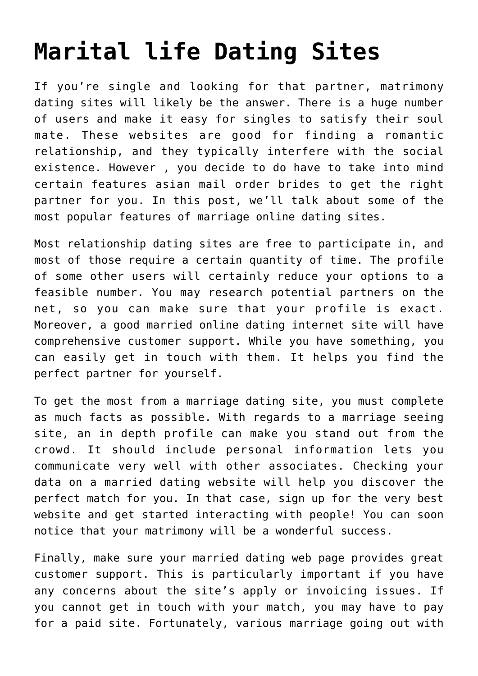## **[Marital life Dating Sites](https://www.commpro.biz/marital-life-dating-sites/)**

If you're single and looking for that partner, matrimony dating sites will likely be the answer. There is a huge number of users and make it easy for singles to satisfy their soul mate. These websites are good for finding a romantic relationship, and they typically interfere with the social existence. However , you decide to do have to take into mind certain features [asian mail order brides](https://onebeautifulbride.net/asian-brides/) to get the right partner for you. In this post, we'll talk about some of the most popular features of marriage online dating sites.

Most relationship dating sites are free to participate in, and most of those require a certain quantity of time. The profile of some other users will certainly reduce your options to a feasible number. You may research potential partners on the net, so you can make sure that your profile is exact. Moreover, a good married online dating internet site will have comprehensive customer support. While you have something, you can easily get in touch with them. It helps you find the perfect partner for yourself.

To get the most from a marriage dating site, you must complete as much facts as possible. With regards to a marriage seeing site, an in depth profile can make you stand out from the crowd. It should include personal information lets you communicate very well with other associates. Checking your data on a married dating website will help you discover the perfect match for you. In that case, sign up for the very best website and get started interacting with people! You can soon notice that your matrimony will be a wonderful success.

Finally, make sure your married dating web page provides great customer support. This is particularly important if you have any concerns about the site's apply or invoicing issues. If you cannot get in touch with your match, you may have to pay for a paid site. Fortunately, various marriage going out with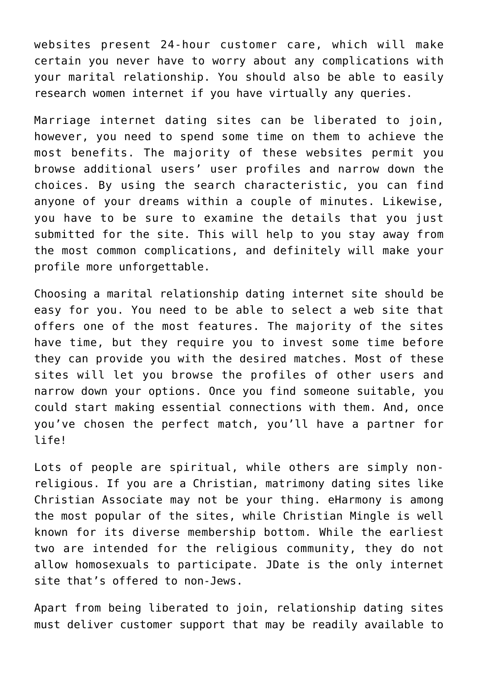websites present 24-hour customer care, which will make certain you never have to worry about any complications with your marital relationship. You should also be able to easily research women internet if you have virtually any queries.

Marriage internet dating sites can be liberated to join, however, you need to spend some time on them to achieve the most benefits. The majority of these websites permit you browse additional users' user profiles and narrow down the choices. By using the search characteristic, you can find anyone of your dreams within a couple of minutes. Likewise, you have to be sure to examine the details that you just submitted for the site. This will help to you stay away from the most common complications, and definitely will make your profile more unforgettable.

Choosing a marital relationship dating internet site should be easy for you. You need to be able to select a web site that offers one of the most features. The majority of the sites have time, but they require you to invest some time before they can provide you with the desired matches. Most of these sites will let you browse the profiles of other users and narrow down your options. Once you find someone suitable, you could start making essential connections with them. And, once you've chosen the perfect match, you'll have a partner for life!

Lots of people are spiritual, while others are simply nonreligious. If you are a Christian, matrimony dating sites like Christian Associate may not be your thing. eHarmony is among the most popular of the sites, while Christian Mingle is well known for its diverse membership bottom. While the earliest two are intended for the religious community, they do not allow homosexuals to participate. JDate is the only internet site that's offered to non-Jews.

Apart from being liberated to join, relationship dating sites must deliver customer support that may be readily available to